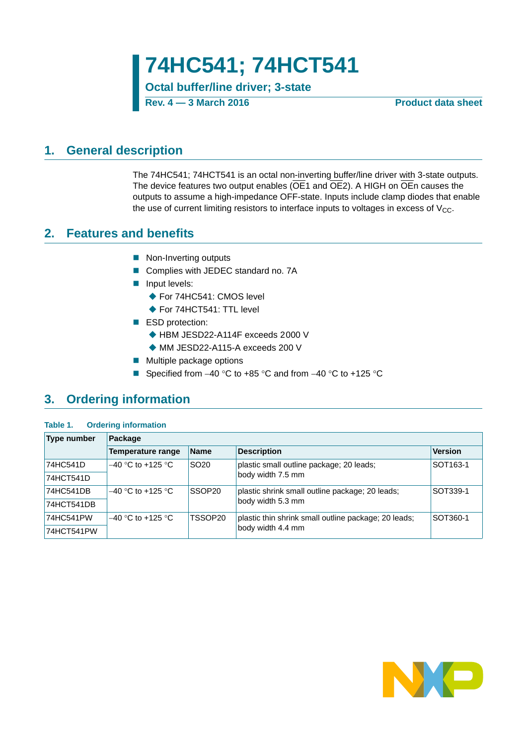**Octal buffer/line driver; 3-state**

**Rev. 4 — 3 March 2016 Product data sheet**

## <span id="page-0-0"></span>**1. General description**

The 74HC541; 74HCT541 is an octal non-inverting buffer/line driver with 3-state outputs. The device features two output enables ( $\overline{OE}1$  and  $\overline{OE}2$ ). A HIGH on  $\overline{OE}n$  causes the outputs to assume a high-impedance OFF-state. Inputs include clamp diodes that enable the use of current limiting resistors to interface inputs to voltages in excess of  $V_{CC}$ .

## <span id="page-0-1"></span>**2. Features and benefits**

- Non-Inverting outputs
- Complies with JEDEC standard no. 7A
- **Input levels:** 
	- ◆ For 74HC541: CMOS level
	- ◆ For 74HCT541: TTL level
- ESD protection:
	- ◆ HBM JESD22-A114F exceeds 2000 V
	- ◆ MM JESD22-A115-A exceeds 200 V
- **Multiple package options**
- Specified from  $-40$  °C to  $+85$  °C and from  $-40$  °C to  $+125$  °C

# <span id="page-0-2"></span>**3. Ordering information**

### **Table 1. Ordering information**

| Type number | Package                               |                  |                                                      |                      |  |  |  |  |  |
|-------------|---------------------------------------|------------------|------------------------------------------------------|----------------------|--|--|--|--|--|
|             | Temperature range                     | <b>Name</b>      | <b>Description</b>                                   | <b>Version</b>       |  |  |  |  |  |
| 74HC541D    | $-40$ °C to +125 °C.                  | SO <sub>20</sub> | plastic small outline package; 20 leads;             | SOT <sub>163-1</sub> |  |  |  |  |  |
| 74HCT541D   |                                       |                  | body width 7.5 mm                                    |                      |  |  |  |  |  |
| 74HC541DB   | <b>SSOP20</b><br>$-40$ °C to +125 °C. |                  | plastic shrink small outline package; 20 leads;      | SOT339-1             |  |  |  |  |  |
| 74HCT541DB  |                                       |                  | body width 5.3 mm                                    |                      |  |  |  |  |  |
| 74HC541PW   | $-40$ °C to +125 °C                   | TSSOP20          | plastic thin shrink small outline package; 20 leads; | SOT360-1             |  |  |  |  |  |
| 74HCT541PW  |                                       |                  | body width 4.4 mm                                    |                      |  |  |  |  |  |

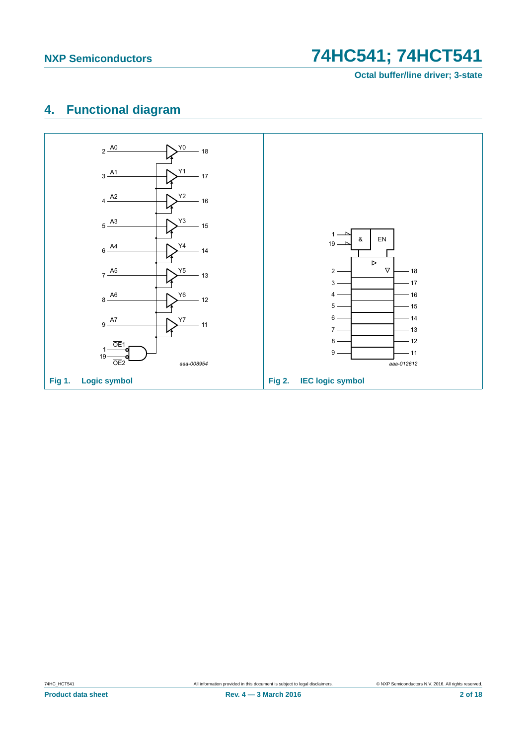**Octal buffer/line driver; 3-state**

# <span id="page-1-0"></span>**4. Functional diagram**

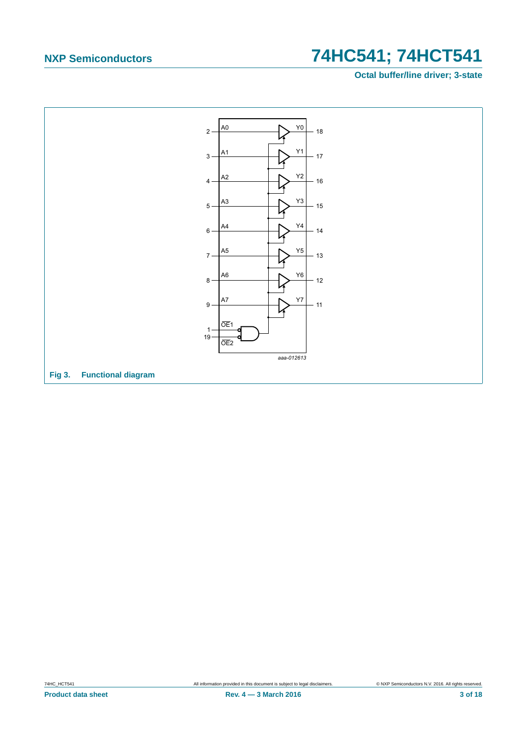**Octal buffer/line driver; 3-state**

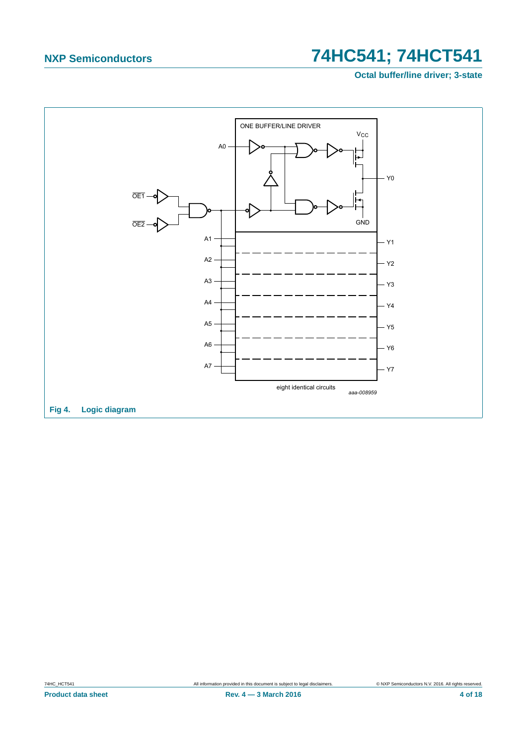Octal buffer/line driver; 3-state



74HC\_HCT541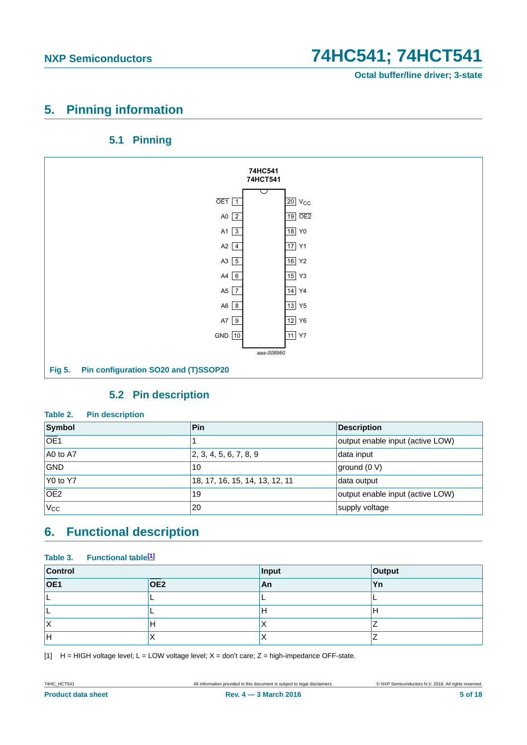**Octal buffer/line driver; 3-state**

## <span id="page-4-1"></span>**5. Pinning information**

## **5.1 Pinning**

<span id="page-4-2"></span>

## **5.2 Pin description**

### <span id="page-4-3"></span>**Table 2. Pin description**

| Symbol           | Pin                            | <b>Description</b>               |
|------------------|--------------------------------|----------------------------------|
| $\overline{OE1}$ |                                | output enable input (active LOW) |
| A0 to A7         | 2, 3, 4, 5, 6, 7, 8, 9         | data input                       |
| <b>GND</b>       | 10                             | ground (0 V)                     |
| $Y0$ to Y7       | 18, 17, 16, 15, 14, 13, 12, 11 | data output                      |
| $\overline{OE2}$ | 19                             | output enable input (active LOW) |
| 'V <sub>CC</sub> | 20                             | supply voltage                   |

# <span id="page-4-4"></span>**6. Functional description**

# **Table 3. Functional table[\[1\]](#page-4-0)**

| Control          |                 | Input     | Output    |  |
|------------------|-----------------|-----------|-----------|--|
| $\overline{OE1}$ | OE <sub>2</sub> | <b>An</b> | <b>Yn</b> |  |
|                  | -               | -         | -         |  |
|                  |                 | Н         | Н         |  |
| ΙX               | Н               | ⌒         |           |  |
| Н                | $\lambda$<br>⌒  | ⌒         |           |  |

<span id="page-4-0"></span>[1]  $H = HIGH$  voltage level;  $L = LOW$  voltage level;  $X = don't$  care;  $Z = high$ -impedance OFF-state.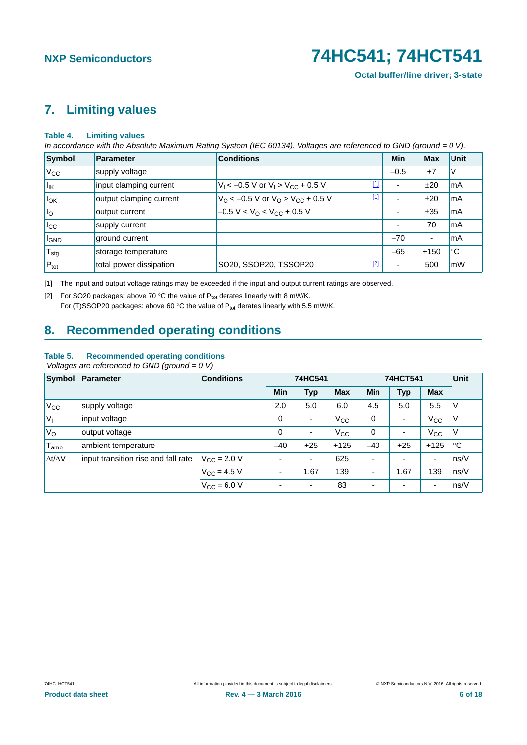# <span id="page-5-2"></span>**7. Limiting values**

### **Table 4. Limiting values**

*In accordance with the Absolute Maximum Rating System (IEC 60134). Voltages are referenced to GND (ground = 0 V).*

| Symbol           | Parameter               | <b>Conditions</b>                                             |             | Min                      | <b>Max</b>               | <b>Unit</b> |
|------------------|-------------------------|---------------------------------------------------------------|-------------|--------------------------|--------------------------|-------------|
| $V_{\rm CC}$     | supply voltage          |                                                               |             | $-0.5$                   | $+7$                     | V           |
| $I_{IK}$         | input clamping current  | $V_1$ < -0.5 V or $V_1$ > $V_{CC}$ + 0.5 V                    | $\boxed{1}$ | $\overline{\phantom{a}}$ | ±20                      | mA          |
| $I_{OK}$         | output clamping current | $V_{\rm O}$ < -0.5 V or $V_{\rm O}$ > V <sub>CC</sub> + 0.5 V | $[1]$       | $\overline{\phantom{a}}$ | ±20                      | mA          |
| $I_{\rm O}$      | output current          | $-0.5 V < VO < VCC + 0.5 V$                                   |             | ۰                        | ±35                      | mA          |
| $I_{\rm CC}$     | supply current          |                                                               |             | $\overline{\phantom{a}}$ | 70                       | mA          |
| <b>I</b> GND     | ground current          |                                                               |             | $-70$                    | $\overline{\phantom{0}}$ | mA          |
| $T_{\text{stg}}$ | storage temperature     |                                                               |             | $-65$                    | $+150$                   | $^{\circ}C$ |
| $P_{\text{tot}}$ | total power dissipation | SO20, SSOP20, TSSOP20                                         | $[2]$       | ۰                        | 500                      | <b>mW</b>   |

<span id="page-5-0"></span>[1] The input and output voltage ratings may be exceeded if the input and output current ratings are observed.

<span id="page-5-1"></span>[2] For SO20 packages: above 70 °C the value of  $P_{tot}$  derates linearly with 8 mW/K.

For (T)SSOP20 packages: above 60 °C the value of  $P_{tot}$  derates linearly with 5.5 mW/K.

# <span id="page-5-3"></span>**8. Recommended operating conditions**

## **Table 5. Recommended operating conditions**

 *Voltages are referenced to GND (ground = 0 V)*

| <b>Symbol</b>       | Parameter                           | <b>Conditions</b>    | 74HC541                  |            |              | 74HCT541   | Unit                     |                          |      |
|---------------------|-------------------------------------|----------------------|--------------------------|------------|--------------|------------|--------------------------|--------------------------|------|
|                     |                                     |                      | <b>Min</b>               | <b>Typ</b> | <b>Max</b>   | <b>Min</b> | <b>Typ</b>               | <b>Max</b>               |      |
| $V_{\rm CC}$        | supply voltage                      |                      | 2.0                      | 5.0        | 6.0          | 4.5        | 5.0                      | 5.5                      | ΙV   |
| $ V_1$              | input voltage                       |                      | $\Omega$                 | ٠          | $V_{\rm CC}$ | 0          | ۰                        | $V_{\rm CC}$             | V    |
| V <sub>o</sub>      | output voltage                      |                      | $\Omega$                 | ٠          | $V_{\rm CC}$ | 0          | ۰                        | $V_{\rm CC}$             | V    |
| $T_{amb}$           | ambient temperature                 |                      | $-40$                    | $+25$      | $+125$       | $-40$      | $+25$                    | $+125$                   | ∣°C  |
| $\Delta t/\Delta V$ | input transition rise and fall rate | $V_{\rm CC}$ = 2.0 V | ٠                        | ٠          | 625          | ۰          | $\overline{\phantom{0}}$ | ٠                        | ns/V |
|                     |                                     | $V_{C} = 4.5 V$      | ٠                        | 1.67       | 139          | ۰          | 1.67                     | 139                      | ns/V |
|                     |                                     | $V_{\rm CC} = 6.0 V$ | $\overline{\phantom{0}}$ | ٠          | 83           |            | $\overline{\phantom{0}}$ | $\overline{\phantom{a}}$ | ns/V |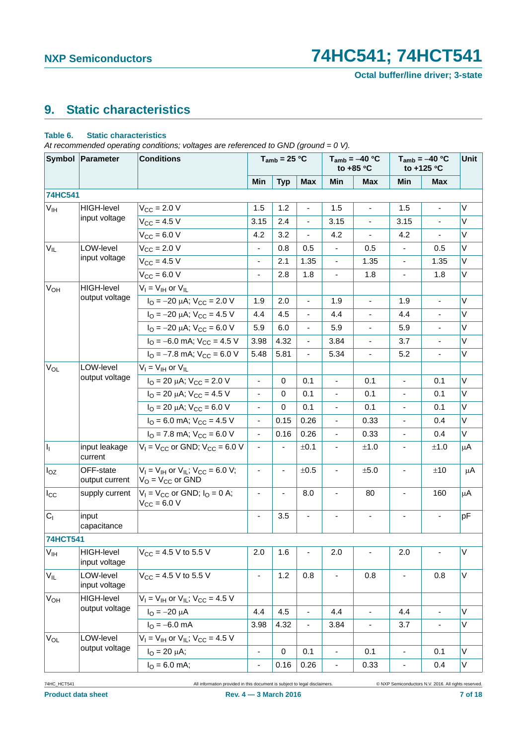**Octal buffer/line driver; 3-state**

# <span id="page-6-0"></span>**9. Static characteristics**

### **Table 6. Static characteristics**

*At recommended operating conditions; voltages are referenced to GND (ground = 0 V).*

|                       | Symbol Parameter            | <b>Conditions</b>                                                        |                              | $T_{amb}$ = 25 °C |                          |                          | $T_{amb} = -40 °C$<br>to $+85$ °C | $T_{amb} = -40 °C$<br>to +125 °C |                              | Unit        |
|-----------------------|-----------------------------|--------------------------------------------------------------------------|------------------------------|-------------------|--------------------------|--------------------------|-----------------------------------|----------------------------------|------------------------------|-------------|
|                       |                             |                                                                          | Min                          | <b>Typ</b>        | <b>Max</b>               | Min                      | <b>Max</b>                        | Min                              | <b>Max</b>                   |             |
| 74HC541               |                             |                                                                          |                              |                   |                          |                          |                                   |                                  |                              |             |
| $V_{\text{IH}}$       | HIGH-level                  | $V_{CC} = 2.0 V$                                                         | 1.5                          | 1.2               | $\overline{\phantom{a}}$ | 1.5                      | ÷,                                | 1.5                              | $\blacksquare$               | V           |
|                       | input voltage               | $V_{CC} = 4.5 V$                                                         | 3.15                         | 2.4               |                          | 3.15                     |                                   | 3.15                             |                              | V           |
|                       |                             | $V_{CC} = 6.0 V$                                                         | 4.2                          | 3.2               | $\blacksquare$           | 4.2                      | $\blacksquare$                    | 4.2                              | ä,                           | V           |
| $V_{IL}$              | LOW-level                   | $V_{\text{CC}} = 2.0 V$                                                  | $\blacksquare$               | 0.8               | 0.5                      | $\overline{\phantom{0}}$ | 0.5                               | $\overline{\phantom{a}}$         | 0.5                          | V           |
|                       | input voltage               | $V_{CC} = 4.5 V$                                                         | $\overline{\phantom{a}}$     | 2.1               | 1.35                     | ÷,                       | 1.35                              | $\overline{\phantom{a}}$         | 1.35                         | V           |
|                       |                             | $V_{CC} = 6.0 V$                                                         | $\blacksquare$               | 2.8               | 1.8                      | $\overline{\phantom{0}}$ | 1.8                               | $\blacksquare$                   | 1.8                          | V           |
| V <sub>OH</sub>       | HIGH-level                  | $V_I = V_{IH}$ or $V_{IL}$                                               |                              |                   |                          |                          |                                   |                                  |                              |             |
|                       | output voltage              | $I_{\rm O} = -20 \mu A$ ; $V_{\rm CC} = 2.0 \text{ V}$                   | 1.9                          | 2.0               | $\blacksquare$           | 1.9                      | $\overline{\phantom{a}}$          | 1.9                              | $\overline{\phantom{a}}$     | V           |
|                       |                             | $I_{\text{O}} = -20 \mu\text{A}$ ; $V_{\text{CC}} = 4.5 \text{ V}$       | 4.4                          | 4.5               | $\overline{\phantom{a}}$ | 4.4                      |                                   | 4.4                              | $\blacksquare$               | V           |
|                       |                             | $I_{\Omega} = -20 \mu A$ ; $V_{\text{CC}} = 6.0 \text{ V}$               | 5.9                          | 6.0               | ÷,                       | 5.9                      |                                   | 5.9                              | $\qquad \qquad \blacksquare$ | V           |
|                       |                             | $I_{\text{O}} = -6.0 \text{ mA}$ ; $V_{\text{CC}} = 4.5 \text{ V}$       | 3.98                         | 4.32              | $\blacksquare$           | 3.84                     | $\blacksquare$                    | 3.7                              | $\overline{\phantom{a}}$     | V           |
|                       |                             | $I_{\text{O}} = -7.8 \text{ mA}$ ; $V_{\text{CC}} = 6.0 \text{ V}$       | 5.48                         | 5.81              | L.                       | 5.34                     | $\blacksquare$                    | 5.2                              | $\frac{1}{2}$                | V           |
| $V_{OL}$              | LOW-level                   | $V_I = V_{IH}$ or $V_{IL}$                                               |                              |                   |                          |                          |                                   |                                  |                              |             |
|                       | output voltage              | $I_{\text{O}}$ = 20 µA; $V_{\text{CC}}$ = 2.0 V                          | $\overline{\phantom{a}}$     | 0                 | 0.1                      | ÷,                       | 0.1                               | $\blacksquare$                   | 0.1                          | V           |
|                       |                             | $I_{\text{O}}$ = 20 µA; $V_{\text{CC}}$ = 4.5 V                          | L.                           | 0                 | 0.1                      | ä,                       | 0.1                               | ä,                               | 0.1                          | V           |
|                       |                             | $I_{\text{O}}$ = 20 µA; $V_{\text{CC}}$ = 6.0 V                          | $\overline{\phantom{0}}$     | 0                 | 0.1                      | ÷,                       | 0.1                               | $\qquad \qquad \blacksquare$     | 0.1                          | V           |
|                       |                             | $I_{\text{O}}$ = 6.0 mA; $V_{\text{CC}}$ = 4.5 V                         | $\overline{\phantom{a}}$     | 0.15              | 0.26                     | ÷,                       | 0.33                              | $\overline{\phantom{a}}$         | 0.4                          | V           |
|                       |                             | $I_{\text{O}}$ = 7.8 mA; $V_{\text{CC}}$ = 6.0 V                         | $\overline{\phantom{a}}$     | 0.16              | 0.26                     | $\overline{\phantom{0}}$ | 0.33                              | $\qquad \qquad \blacksquare$     | 0.4                          | V           |
| ı,                    | input leakage<br>current    | $V_1 = V_{CC}$ or GND; $V_{CC} = 6.0$ V                                  | $\overline{\phantom{a}}$     |                   | ±0.1                     | -                        | ±1.0                              | $\qquad \qquad \blacksquare$     | ±1.0                         | μA          |
| $I_{OZ}$              | OFF-state<br>output current | $V_1 = V_{1H}$ or $V_{1L}$ ; $V_{CC} = 6.0 V$ ;<br>$V_O = V_{CC}$ or GND |                              |                   | ±0.5                     |                          | ±5.0                              |                                  | ±10                          | μA          |
| $I_{\rm CC}$          | supply current              | $V_1 = V_{CC}$ or GND; $I_Q = 0$ A;<br>$V_{CC} = 6.0 V$                  | $\overline{\phantom{a}}$     | $\blacksquare$    | 8.0                      | $\overline{\phantom{a}}$ | 80                                | $\overline{\phantom{a}}$         | 160                          | μA          |
| $C_{1}$               | input<br>capacitance        |                                                                          | $\overline{\phantom{0}}$     | 3.5               | $\blacksquare$           |                          | $\blacksquare$                    | $\overline{\phantom{a}}$         | $\frac{1}{2}$                | pF          |
| <b>74HCT541</b>       |                             |                                                                          |                              |                   |                          |                          |                                   |                                  |                              |             |
| V <sub>IH</sub>       | HIGH-level<br>input voltage | $V_{CC}$ = 4.5 V to 5.5 V                                                | 2.0                          | 1.6               | -                        | 2.0                      | $\overline{\phantom{a}}$          | 2.0                              | $\blacksquare$               | $\mathsf V$ |
| $V_{IL}$              | LOW-level<br>input voltage  | $V_{CC}$ = 4.5 V to 5.5 V                                                | $\qquad \qquad \blacksquare$ | 1.2               | 0.8                      |                          | 0.8                               |                                  | 0.8                          | V           |
| V <sub>OH</sub>       | HIGH-level                  | $V_1 = V_{1H}$ or $V_{1L}$ ; $V_{CC} = 4.5$ V                            |                              |                   |                          |                          |                                   |                                  |                              |             |
|                       | output voltage              | $I_{\text{O}} = -20 \mu A$                                               | 4.4                          | 4.5               | $\blacksquare$           | 4.4                      | $\blacksquare$                    | 4.4                              | ä,                           | V           |
|                       |                             | $I_{\text{O}} = -6.0 \text{ mA}$                                         | 3.98                         | 4.32              | $\blacksquare$           | 3.84                     | $\overline{\phantom{a}}$          | 3.7                              | $\overline{\phantom{a}}$     | V           |
| <b>V<sub>OL</sub></b> | LOW-level                   | $V_1 = V_{1H}$ or $V_{1L}$ ; $V_{CC} = 4.5$ V                            |                              |                   |                          |                          |                                   |                                  |                              |             |
|                       | output voltage              | $I_{\rm O} = 20 \mu A$ ;                                                 | $\qquad \qquad \blacksquare$ | 0                 | 0.1                      | ۰                        | 0.1                               | $\overline{\phantom{a}}$         | 0.1                          | V           |
|                       |                             | $IO = 6.0$ mA;                                                           | $\blacksquare$               | 0.16              | 0.26                     | $\blacksquare$           | 0.33                              | $\blacksquare$                   | 0.4                          | V           |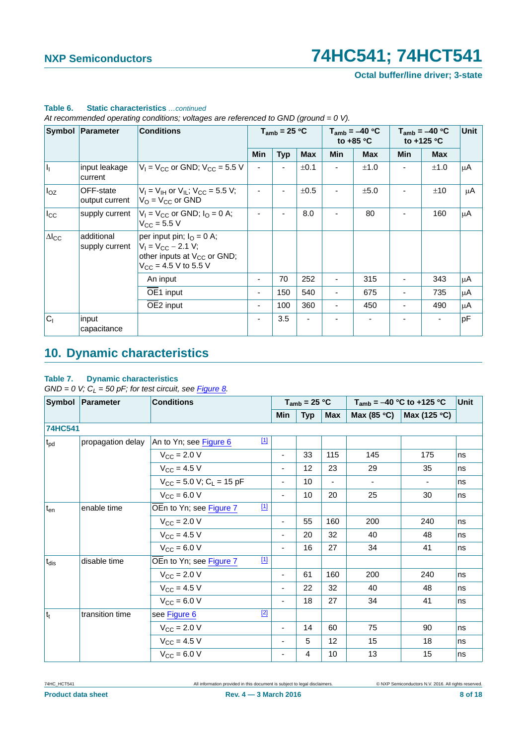**Octal buffer/line driver; 3-state**

|                 | Symbol Parameter             | <b>Conditions</b>                                                                                                                              |                          | $T_{amb}$ = 25 °C |            |            | $T_{amb} = -40 °C$<br>to $+85$ °C | $T_{amb} = -40 °C$<br>to +125 °C |            | <b>Unit</b> |
|-----------------|------------------------------|------------------------------------------------------------------------------------------------------------------------------------------------|--------------------------|-------------------|------------|------------|-----------------------------------|----------------------------------|------------|-------------|
|                 |                              |                                                                                                                                                | <b>Min</b>               | <b>Typ</b>        | <b>Max</b> | <b>Min</b> | <b>Max</b>                        | <b>Min</b>                       | <b>Max</b> |             |
| h,              | input leakage<br>current     | $V_1 = V_{CC}$ or GND; $V_{CC} = 5.5$ V                                                                                                        |                          |                   | ±0.1       |            | ±1.0                              |                                  | ±1.0       | μA          |
| $I_{OZ}$        | OFF-state<br>output current  | $V_1 = V_{1H}$ or $V_{1L}$ ; $V_{CC} = 5.5 V$ ;<br>$V_{\rm O}$ = $V_{\rm CC}$ or GND                                                           |                          |                   | ±0.5       |            | ±5.0                              |                                  | ±10        | μA          |
| $I_{\rm CC}$    | supply current               | $V_1 = V_{CC}$ or GND; $I_0 = 0$ A;<br>$V_{\rm CC}$ = 5.5 V                                                                                    |                          |                   | 8.0        |            | 80                                |                                  | 160        | μA          |
| $\Delta I_{CC}$ | additional<br>supply current | per input pin; $I_{\Omega} = 0$ A;<br>$V_1 = V_{CC} - 2.1 V$ ;<br>other inputs at $V_{CC}$ or GND;<br>$V_{\text{CC}} = 4.5 \text{ V}$ to 5.5 V |                          |                   |            |            |                                   |                                  |            |             |
|                 |                              | An input                                                                                                                                       | ٠                        | 70                | 252        |            | 315                               | -                                | 343        | μA          |
|                 |                              | OE1 input                                                                                                                                      | $\blacksquare$           | 150               | 540        |            | 675                               |                                  | 735        | μA          |
|                 |                              | OE2 input                                                                                                                                      | $\overline{\phantom{a}}$ | 100               | 360        |            | 450                               | ٠                                | 490        | μA          |
| C <sub>1</sub>  | input<br>capacitance         |                                                                                                                                                |                          | 3.5               |            |            |                                   |                                  | ۰          | pF          |

## **Table 6. Static characteristics** *…continued*

*At recommended operating conditions; voltages are referenced to GND (ground = 0 V).*

# <span id="page-7-0"></span>**10. Dynamic characteristics**

### **Table 7. Dynamic characteristics**

 $GND = 0$  V;  $C_L = 50$  pF; for test circuit, see *[Figure 8](#page-10-0).* 

|                 | Symbol Parameter  | <b>Conditions</b>                        |             | $T_{amb}$ = 25 °C        |            |            | $T_{amb} = -40 °C$ to +125 °C | Unit         |    |
|-----------------|-------------------|------------------------------------------|-------------|--------------------------|------------|------------|-------------------------------|--------------|----|
|                 |                   |                                          |             | Min                      | <b>Typ</b> | <b>Max</b> | Max (85 $\degree$ C)          | Max (125 °C) |    |
| 74HC541         |                   |                                          |             |                          |            |            |                               |              |    |
| $t_{\rm pd}$    | propagation delay | An to Yn; see Figure 6                   | $\boxed{1}$ |                          |            |            |                               |              |    |
|                 |                   | $V_{\rm CC}$ = 2.0 V                     |             | $\overline{\phantom{a}}$ | 33         | 115        | 145                           | 175          | ns |
|                 |                   | $V_{CC} = 4.5 V$                         |             | $\overline{\phantom{a}}$ | 12         | 23         | 29                            | 35           | ns |
|                 |                   | $V_{CC}$ = 5.0 V; C <sub>1</sub> = 15 pF |             | $\overline{\phantom{a}}$ | 10         | ٠          |                               | ۰            | ns |
|                 |                   | $V_{CC} = 6.0 V$                         |             | $\overline{\phantom{a}}$ | 10         | 20         | 25                            | 30           | ns |
| t <sub>en</sub> | enable time       | OEn to Yn; see Figure 7                  | $\boxed{1}$ |                          |            |            |                               |              |    |
|                 |                   | $V_{\rm CC}$ = 2.0 V                     |             | $\overline{\phantom{a}}$ | 55         | 160        | 200                           | 240          | ns |
|                 |                   | $V_{CC} = 4.5 V$                         |             | $\overline{\phantom{a}}$ | 20         | 32         | 40                            | 48           | ns |
|                 |                   | $V_{CC} = 6.0 V$                         |             |                          | 16         | 27         | 34                            | 41           | ns |
| $t_{dis}$       | disable time      | OEn to Yn; see Figure 7                  | $\boxed{1}$ |                          |            |            |                               |              |    |
|                 |                   | $V_{\text{CC}} = 2.0 V$                  |             | $\overline{\phantom{a}}$ | 61         | 160        | 200                           | 240          | ns |
|                 |                   | $V_{CC} = 4.5 V$                         |             | $\overline{\phantom{a}}$ | 22         | 32         | 40                            | 48           | ns |
|                 |                   | $V_{CC} = 6.0 V$                         |             | $\overline{\phantom{a}}$ | 18         | 27         | 34                            | 41           | ns |
| $ t_t $         | transition time   | see Figure 6                             | $[2]$       |                          |            |            |                               |              |    |
|                 |                   | $V_{\text{CC}} = 2.0 V$                  |             | $\overline{\phantom{a}}$ | 14         | 60         | 75                            | 90           | ns |
|                 |                   | $V_{CC} = 4.5 V$                         |             | $\overline{\phantom{0}}$ | 5          | 12         | 15                            | 18           | ns |
|                 |                   | $V_{CC}$ = 6.0 V                         |             | -                        | 4          | 10         | 13                            | 15           | ns |

74HC\_HCT541 All information provided in this document is subject to legal disclaimers. © NXP Semiconductors N.V. 2016. All rights reserved.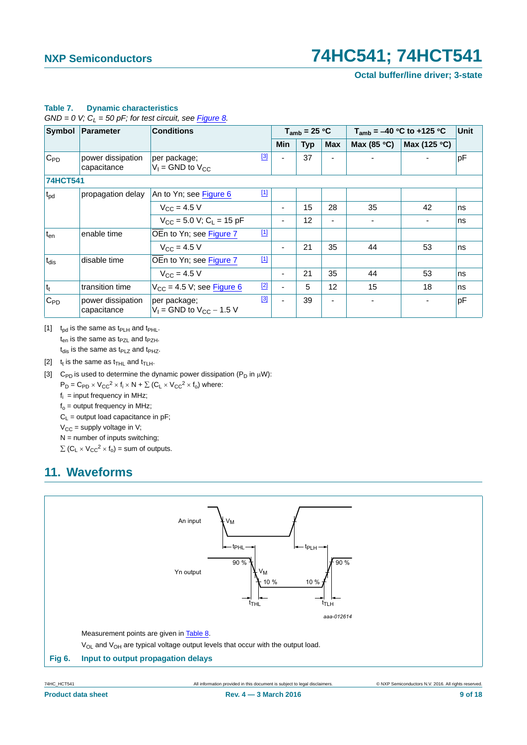**Octal buffer/line driver; 3-state**

|                  | Symbol Parameter                 | <b>Conditions</b>                                        |  | $T_{amb}$ = 25 °C        |            |     |                      | $T_{amb}$ = -40 °C to +125 °C | Unit |
|------------------|----------------------------------|----------------------------------------------------------|--|--------------------------|------------|-----|----------------------|-------------------------------|------|
|                  |                                  |                                                          |  | Min                      | <b>Typ</b> | Max | Max (85 $\degree$ C) | Max (125 °C)                  |      |
| $C_{PD}$         | power dissipation<br>capacitance | $[3]$<br>per package;<br>$V_1$ = GND to $V_{CC}$         |  |                          | 37         |     |                      |                               | pF   |
| <b>74HCT541</b>  |                                  |                                                          |  |                          |            |     |                      |                               |      |
| $t_{\rm pd}$     | propagation delay                | $[1]$<br>An to Yn; see Figure 6                          |  |                          |            |     |                      |                               |      |
|                  |                                  | $V_{\rm CC} = 4.5 V$                                     |  | $\overline{\phantom{a}}$ | 15         | 28  | 35                   | 42                            | ns   |
|                  |                                  | $V_{CC}$ = 5.0 V; C <sub>1</sub> = 15 pF                 |  |                          | 12         | -   |                      |                               | ns   |
| $t_{en}$         | enable time                      | $[1]$<br>OEn to Yn; see Figure 7                         |  |                          |            |     |                      |                               |      |
|                  |                                  | $V_{\text{CC}} = 4.5 V$                                  |  |                          | 21         | 35  | 44                   | 53                            | ns   |
| t <sub>dis</sub> | disable time                     | $[1]$<br>OEn to Yn; see Figure 7                         |  |                          |            |     |                      |                               |      |
|                  |                                  | $V_{CC} = 4.5 V$                                         |  |                          | 21         | 35  | 44                   | 53                            | ns   |
| $ t_t $          | transition time                  | $[2]$<br>$V_{CC}$ = 4.5 V; see Figure 6                  |  |                          | 5          | 12  | 15                   | 18                            | ns   |
| $C_{PD}$         | power dissipation<br>capacitance | $[3]$<br>per package;<br>$V_1$ = GND to $V_{CC}$ – 1.5 V |  |                          | 39         |     |                      |                               | pF   |

### **Table 7. Dynamic characteristics**

 $GND = 0$  V;  $C_L = 50$  pF; for test circuit, see **Figure 8.** 

<span id="page-8-1"></span>[1]  $t_{\text{od}}$  is the same as  $t_{\text{PLH}}$  and  $t_{\text{PHL}}$ .  $t_{en}$  is the same as  $t_{PZL}$  and  $t_{PZH}$ .  $t_{dis}$  is the same as  $t_{PLZ}$  and  $t_{PHZ}$ .

<span id="page-8-2"></span>[2]  $t_t$  is the same as  $t_{THL}$  and  $t_{TLH}$ .

<span id="page-8-3"></span>[3] C<sub>PD</sub> is used to determine the dynamic power dissipation (P<sub>D</sub> in  $\mu$ W):

 $P_D = C_{PD} \times V_{CC}^2 \times f_i \times N + \sum (C_L \times V_{CC}^2 \times f_o)$  where:

 $f_i$  = input frequency in MHz;

 $f<sub>o</sub>$  = output frequency in MHz;

 $C_L$  = output load capacitance in pF;

 $V_{CC}$  = supply voltage in V;

 $N =$  number of inputs switching;

 $\sum$  (C<sub>L</sub>  $\times$  V<sub>CC</sub><sup>2</sup>  $\times$  f<sub>o</sub>) = sum of outputs.

# <span id="page-8-4"></span>**11. Waveforms**



<span id="page-8-0"></span>**Product data sheet** 9 of 18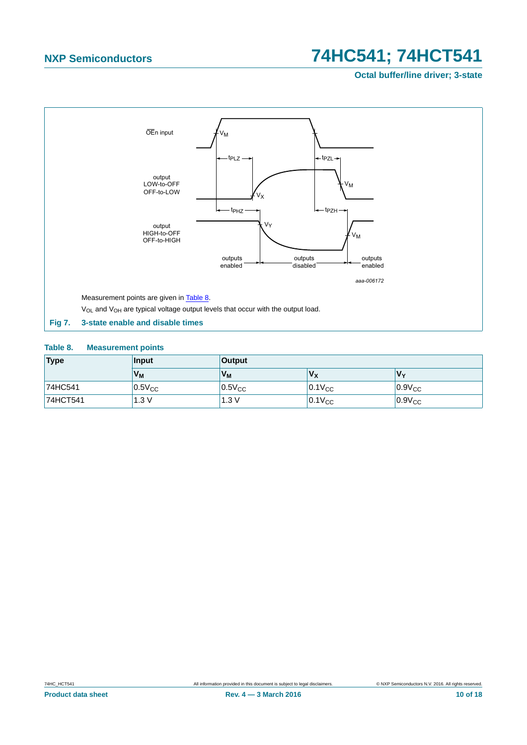**Octal buffer/line driver; 3-state**



### <span id="page-9-1"></span><span id="page-9-0"></span>**Table 8. Measurement points**

| Type     | Input       | <b>Output</b> |             |             |  |  |  |
|----------|-------------|---------------|-------------|-------------|--|--|--|
|          | Vм          | Vм            | $V_{\rm X}$ | Vv          |  |  |  |
| 74HC541  | $0.5V_{CC}$ | $0.5V_{CC}$   | $0.1V_{CC}$ | $0.9V_{CC}$ |  |  |  |
| 74HCT541 | 1.3V        | 1.3V          | $0.1V_{CC}$ | $0.9V_{CC}$ |  |  |  |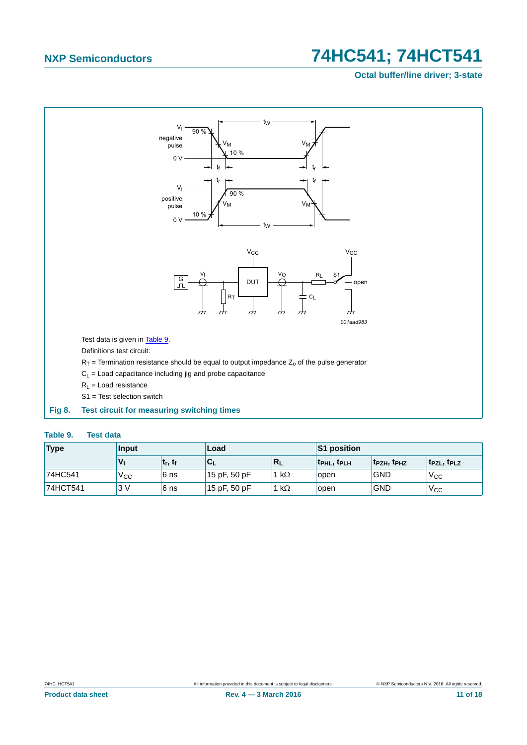## **Octal buffer/line driver; 3-state**



### <span id="page-10-1"></span><span id="page-10-0"></span>**Table 9. Test data**

| <b>Type</b> | Input           |              | Load         |              | S1 position       |             |                                     |  |
|-------------|-----------------|--------------|--------------|--------------|-------------------|-------------|-------------------------------------|--|
|             | V <sub>1</sub>  | $ t_r, t_f $ | $C_{L}$      | $R_L$        | <b>TPHL, TPLH</b> | 'tpzh, tphz | t <sub>PZL</sub> , t <sub>PLZ</sub> |  |
| 74HC541     | V <sub>CC</sub> | 6 ns         | 15 pF, 50 pF | 1 k $\Omega$ | open              | <b>GND</b>  | V <sub>CC</sub>                     |  |
| 74HCT541    | 3V              | 6 ns         | 15 pF, 50 pF | 1 k $\Omega$ | open              | <b>GND</b>  | V <sub>cc</sub>                     |  |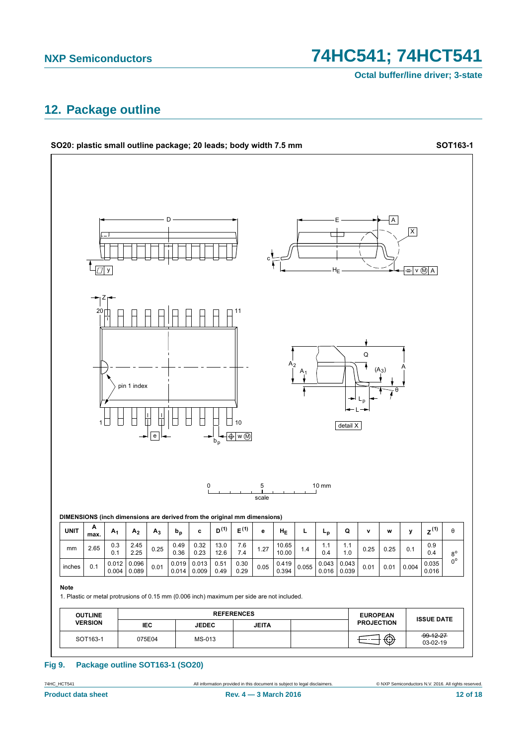Octal buffer/line driver; 3-state

## <span id="page-11-0"></span>12. Package outline



### **Fig 9.** Package outline SOT163-1 (SO20)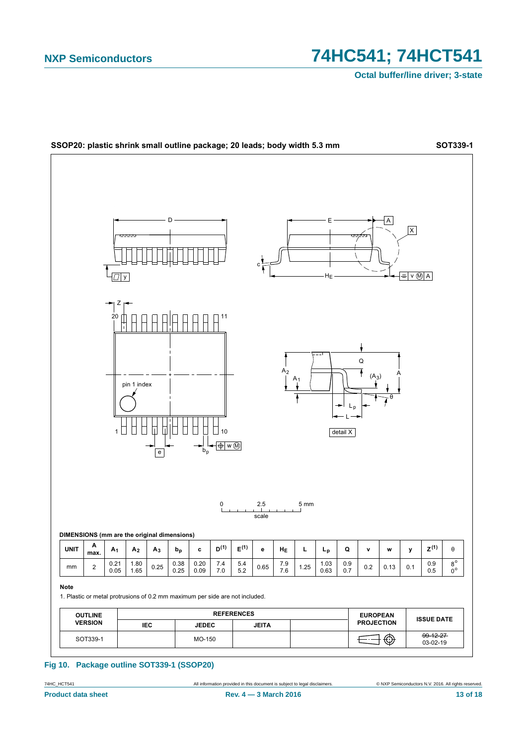**Octal buffer/line driver; 3-state** 



### Fig 10. Package outline SOT339-1 (SSOP20)

74HC\_HCT541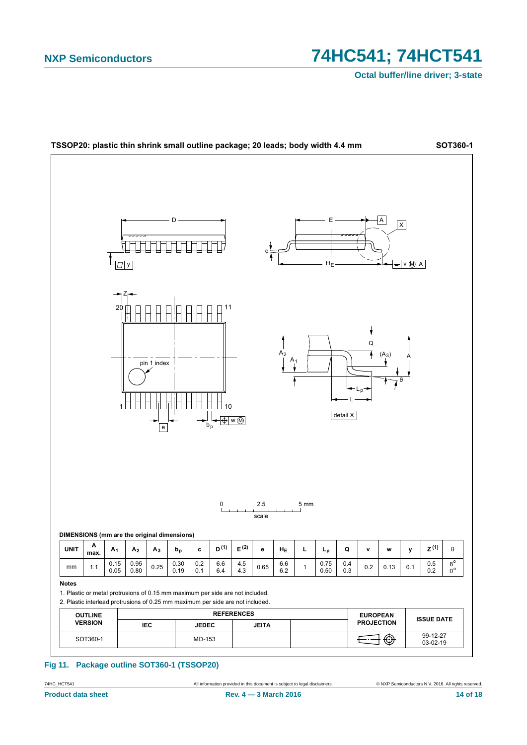Octal buffer/line driver; 3-state



### Fig 11. Package outline SOT360-1 (TSSOP20)

74HC\_HCT541 **Product data sheet**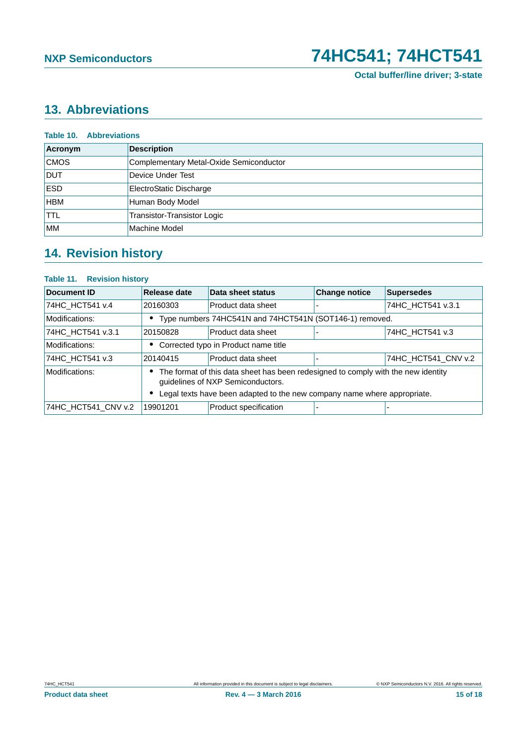**Octal buffer/line driver; 3-state**

# <span id="page-14-0"></span>**13. Abbreviations**

| <b>Table 10. Abbreviations</b> |                                         |  |  |  |  |  |  |
|--------------------------------|-----------------------------------------|--|--|--|--|--|--|
| Acronym                        | <b>Description</b>                      |  |  |  |  |  |  |
| <b>CMOS</b>                    | Complementary Metal-Oxide Semiconductor |  |  |  |  |  |  |
| <b>DUT</b>                     | Device Under Test                       |  |  |  |  |  |  |
| <b>ESD</b>                     | ElectroStatic Discharge                 |  |  |  |  |  |  |
| <b>HBM</b>                     | Human Body Model                        |  |  |  |  |  |  |
| <b>TTL</b>                     | Transistor-Transistor Logic             |  |  |  |  |  |  |
| <b>IMM</b>                     | Machine Model                           |  |  |  |  |  |  |

# <span id="page-14-1"></span>**14. Revision history**

## **Table 11. Revision history**

| Document ID         | Release date                                                                                                           | Data sheet status     | <b>Change notice</b> | <b>Supersedes</b>   |
|---------------------|------------------------------------------------------------------------------------------------------------------------|-----------------------|----------------------|---------------------|
| 74HC_HCT541 v.4     | 20160303                                                                                                               | Product data sheet    |                      | 74HC_HCT541 v.3.1   |
| Modifications:      | Type numbers 74HC541N and 74HCT541N (SOT146-1) removed.                                                                |                       |                      |                     |
| 74HC HCT541 v.3.1   | 20150828                                                                                                               | Product data sheet    |                      | 74HC_HCT541 v.3     |
| Modifications:      | Corrected typo in Product name title                                                                                   |                       |                      |                     |
| 74HC HCT541 v.3     | 20140415                                                                                                               | Product data sheet    |                      | 74HC HCT541 CNV v.2 |
| Modifications:      | The format of this data sheet has been redesigned to comply with the new identity<br>guidelines of NXP Semiconductors. |                       |                      |                     |
|                     | Legal texts have been adapted to the new company name where appropriate.                                               |                       |                      |                     |
| 74HC HCT541 CNV v.2 | 19901201                                                                                                               | Product specification |                      |                     |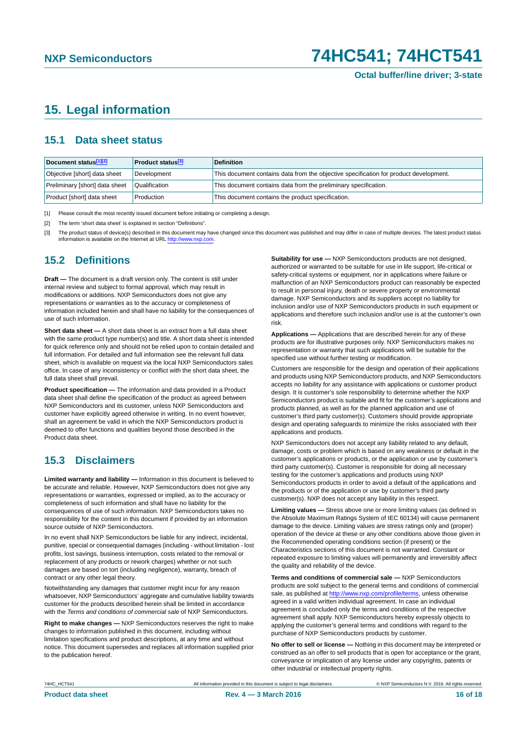## <span id="page-15-3"></span>**15. Legal information**

## <span id="page-15-4"></span>**15.1 Data sheet status**

| Document status[1][2]          | <b>Product status</b> <sup>[3]</sup> | <b>Definition</b>                                                                     |
|--------------------------------|--------------------------------------|---------------------------------------------------------------------------------------|
| Objective [short] data sheet   | Development                          | This document contains data from the objective specification for product development. |
| Preliminary [short] data sheet | Qualification                        | This document contains data from the preliminary specification.                       |
| Product [short] data sheet     | Production                           | This document contains the product specification.                                     |

<span id="page-15-0"></span>[1] Please consult the most recently issued document before initiating or completing a design.

<span id="page-15-1"></span>[2] The term 'short data sheet' is explained in section "Definitions".

<span id="page-15-2"></span>[3] The product status of device(s) described in this document may have changed since this document was published and may differ in case of multiple devices. The latest product status<br>information is available on the Intern

## <span id="page-15-5"></span>**15.2 Definitions**

**Draft —** The document is a draft version only. The content is still under internal review and subject to formal approval, which may result in modifications or additions. NXP Semiconductors does not give any representations or warranties as to the accuracy or completeness of information included herein and shall have no liability for the consequences of use of such information.

**Short data sheet —** A short data sheet is an extract from a full data sheet with the same product type number(s) and title. A short data sheet is intended for quick reference only and should not be relied upon to contain detailed and full information. For detailed and full information see the relevant full data sheet, which is available on request via the local NXP Semiconductors sales office. In case of any inconsistency or conflict with the short data sheet, the full data sheet shall prevail.

**Product specification —** The information and data provided in a Product data sheet shall define the specification of the product as agreed between NXP Semiconductors and its customer, unless NXP Semiconductors and customer have explicitly agreed otherwise in writing. In no event however, shall an agreement be valid in which the NXP Semiconductors product is deemed to offer functions and qualities beyond those described in the Product data sheet.

## <span id="page-15-6"></span>**15.3 Disclaimers**

**Limited warranty and liability —** Information in this document is believed to be accurate and reliable. However, NXP Semiconductors does not give any representations or warranties, expressed or implied, as to the accuracy or completeness of such information and shall have no liability for the consequences of use of such information. NXP Semiconductors takes no responsibility for the content in this document if provided by an information source outside of NXP Semiconductors.

In no event shall NXP Semiconductors be liable for any indirect, incidental, punitive, special or consequential damages (including - without limitation - lost profits, lost savings, business interruption, costs related to the removal or replacement of any products or rework charges) whether or not such damages are based on tort (including negligence), warranty, breach of contract or any other legal theory.

Notwithstanding any damages that customer might incur for any reason whatsoever, NXP Semiconductors' aggregate and cumulative liability towards customer for the products described herein shall be limited in accordance with the *Terms and conditions of commercial sale* of NXP Semiconductors.

**Right to make changes —** NXP Semiconductors reserves the right to make changes to information published in this document, including without limitation specifications and product descriptions, at any time and without notice. This document supersedes and replaces all information supplied prior to the publication hereof.

**Suitability for use —** NXP Semiconductors products are not designed, authorized or warranted to be suitable for use in life support, life-critical or safety-critical systems or equipment, nor in applications where failure or malfunction of an NXP Semiconductors product can reasonably be expected to result in personal injury, death or severe property or environmental damage. NXP Semiconductors and its suppliers accept no liability for inclusion and/or use of NXP Semiconductors products in such equipment or applications and therefore such inclusion and/or use is at the customer's own risk.

**Applications —** Applications that are described herein for any of these products are for illustrative purposes only. NXP Semiconductors makes no representation or warranty that such applications will be suitable for the specified use without further testing or modification.

Customers are responsible for the design and operation of their applications and products using NXP Semiconductors products, and NXP Semiconductors accepts no liability for any assistance with applications or customer product design. It is customer's sole responsibility to determine whether the NXP Semiconductors product is suitable and fit for the customer's applications and products planned, as well as for the planned application and use of customer's third party customer(s). Customers should provide appropriate design and operating safeguards to minimize the risks associated with their applications and products.

NXP Semiconductors does not accept any liability related to any default, damage, costs or problem which is based on any weakness or default in the customer's applications or products, or the application or use by customer's third party customer(s). Customer is responsible for doing all necessary testing for the customer's applications and products using NXP Semiconductors products in order to avoid a default of the applications and the products or of the application or use by customer's third party customer(s). NXP does not accept any liability in this respect.

**Limiting values —** Stress above one or more limiting values (as defined in the Absolute Maximum Ratings System of IEC 60134) will cause permanent damage to the device. Limiting values are stress ratings only and (proper) operation of the device at these or any other conditions above those given in the Recommended operating conditions section (if present) or the Characteristics sections of this document is not warranted. Constant or repeated exposure to limiting values will permanently and irreversibly affect the quality and reliability of the device.

**Terms and conditions of commercial sale —** NXP Semiconductors products are sold subject to the general terms and conditions of commercial sale, as published at<http://www.nxp.com/profile/terms>, unless otherwise agreed in a valid written individual agreement. In case an individual agreement is concluded only the terms and conditions of the respective agreement shall apply. NXP Semiconductors hereby expressly objects to applying the customer's general terms and conditions with regard to the purchase of NXP Semiconductors products by customer.

**No offer to sell or license —** Nothing in this document may be interpreted or construed as an offer to sell products that is open for acceptance or the grant, conveyance or implication of any license under any copyrights, patents or other industrial or intellectual property rights.

74HC\_HCT541 All information provided in this document is subject to legal disclaimers. © NXP Semiconductors N.V. 2016. All rights reserved.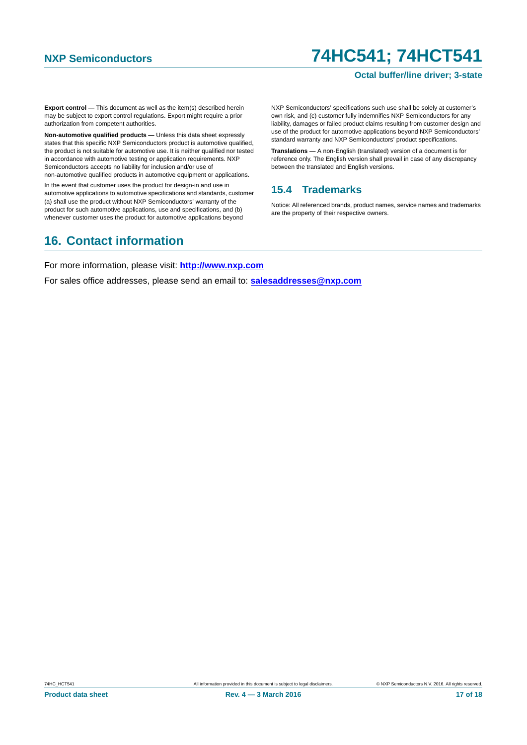### **Octal buffer/line driver; 3-state**

**Export control —** This document as well as the item(s) described herein may be subject to export control regulations. Export might require a prior authorization from competent authorities.

**Non-automotive qualified products —** Unless this data sheet expressly states that this specific NXP Semiconductors product is automotive qualified, the product is not suitable for automotive use. It is neither qualified nor tested in accordance with automotive testing or application requirements. NXP Semiconductors accepts no liability for inclusion and/or use of non-automotive qualified products in automotive equipment or applications.

In the event that customer uses the product for design-in and use in automotive applications to automotive specifications and standards, customer (a) shall use the product without NXP Semiconductors' warranty of the product for such automotive applications, use and specifications, and (b) whenever customer uses the product for automotive applications beyond

NXP Semiconductors' specifications such use shall be solely at customer's own risk, and (c) customer fully indemnifies NXP Semiconductors for any liability, damages or failed product claims resulting from customer design and use of the product for automotive applications beyond NXP Semiconductors' standard warranty and NXP Semiconductors' product specifications.

**Translations —** A non-English (translated) version of a document is for reference only. The English version shall prevail in case of any discrepancy between the translated and English versions.

## <span id="page-16-0"></span>**15.4 Trademarks**

Notice: All referenced brands, product names, service names and trademarks are the property of their respective owners.

## <span id="page-16-1"></span>**16. Contact information**

For more information, please visit: **http://www.nxp.com**

For sales office addresses, please send an email to: **salesaddresses@nxp.com**